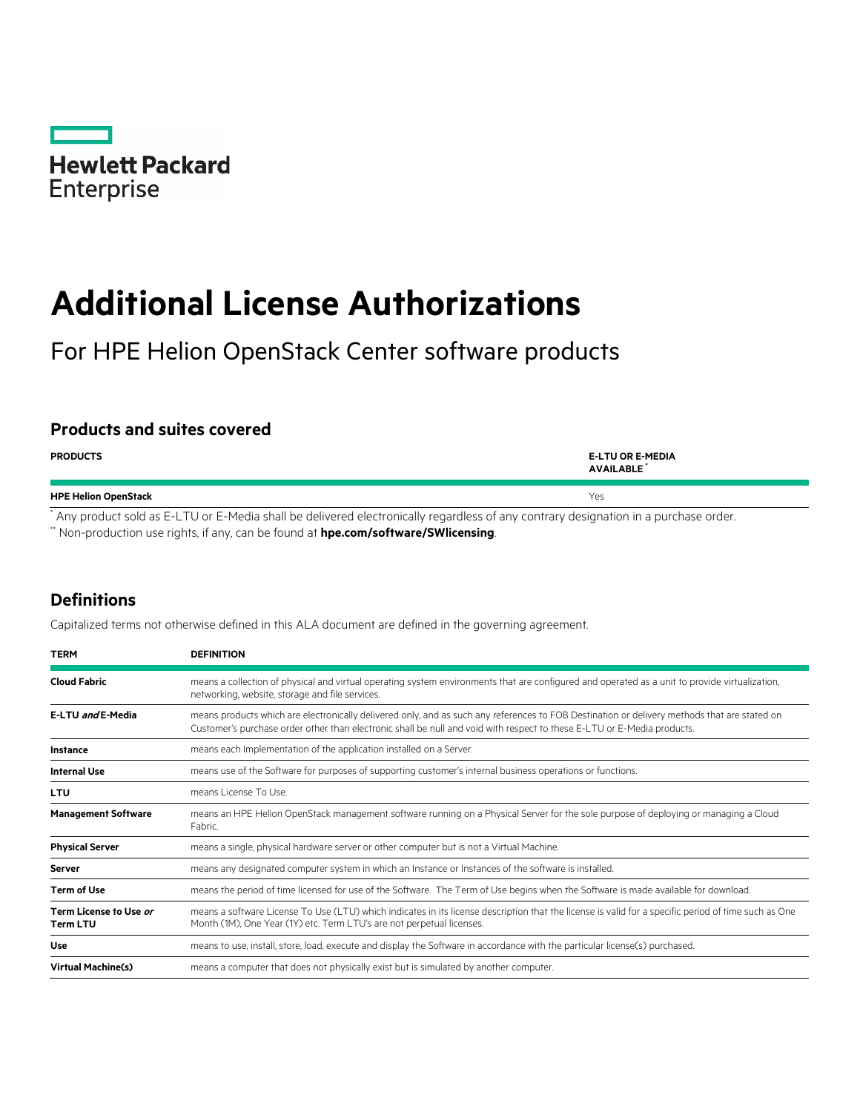

# **Additional License Authorizations**

For HPE Helion OpenStack Center software products

## **Products and suites covered**

| <b>PRODUCTS</b>             | <b>E-LTU OR E-MEDIA</b><br><b>AVAILABLE</b> |
|-----------------------------|---------------------------------------------|
| <b>HPE Helion OpenStack</b> | Yes                                         |

\* Any product sold as E-LTU or E-Media shall be delivered electronically regardless of any contrary designation in a purchase order.

\*\* Non-production use rights, if any, can be found at **[hpe.com/software/SWlicensing](http://www.hpe.com/software/SWlicensing)**.

## **Definitions**

Capitalized terms not otherwise defined in this ALA document are defined in the governing agreement.

| <b>TERM</b>                               | <b>DEFINITION</b>                                                                                                                                                                                                                                                       |
|-------------------------------------------|-------------------------------------------------------------------------------------------------------------------------------------------------------------------------------------------------------------------------------------------------------------------------|
| <b>Cloud Fabric</b>                       | means a collection of physical and virtual operating system environments that are configured and operated as a unit to provide virtualization,<br>networking, website, storage and file services.                                                                       |
| E-LTU and E-Media                         | means products which are electronically delivered only, and as such any references to FOB Destination or delivery methods that are stated on<br>Customer's purchase order other than electronic shall be null and void with respect to these E-LTU or E-Media products. |
| <b>Instance</b>                           | means each Implementation of the application installed on a Server.                                                                                                                                                                                                     |
| <b>Internal Use</b>                       | means use of the Software for purposes of supporting customer's internal business operations or functions.                                                                                                                                                              |
| <b>LTU</b>                                | means License To Use.                                                                                                                                                                                                                                                   |
| <b>Management Software</b>                | means an HPE Helion OpenStack management software running on a Physical Server for the sole purpose of deploying or managing a Cloud<br>Fabric.                                                                                                                         |
| <b>Physical Server</b>                    | means a single, physical hardware server or other computer but is not a Virtual Machine.                                                                                                                                                                                |
| <b>Server</b>                             | means any designated computer system in which an Instance or Instances of the software is installed.                                                                                                                                                                    |
| <b>Term of Use</b>                        | means the period of time licensed for use of the Software. The Term of Use begins when the Software is made available for download.                                                                                                                                     |
| Term License to Use or<br><b>Term LTU</b> | means a software License To Use (LTU) which indicates in its license description that the license is valid for a specific period of time such as One<br>Month (1M), One Year (1Y) etc. Term LTU's are not perpetual licenses.                                           |
| <b>Use</b>                                | means to use, install, store, load, execute and display the Software in accordance with the particular license(s) purchased.                                                                                                                                            |
| <b>Virtual Machine(s)</b>                 | means a computer that does not physically exist but is simulated by another computer.                                                                                                                                                                                   |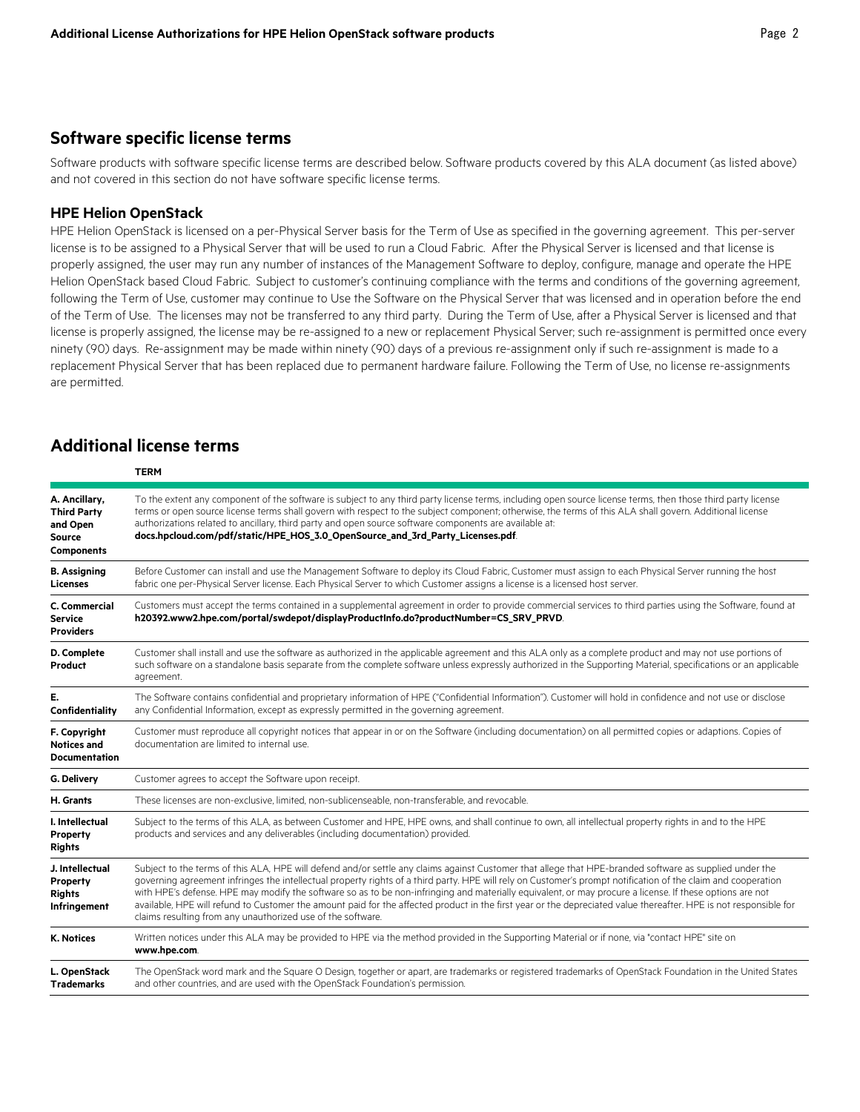## **Software specific license terms**

Software products with software specific license terms are described below. Software products covered by this ALA document (as listed above) and not covered in this section do not have software specific license terms.

## **HPE Helion OpenStack**

HPE Helion OpenStack is licensed on a per-Physical Server basis for the Term of Use as specified in the governing agreement. This per-server license is to be assigned to a Physical Server that will be used to run a Cloud Fabric. After the Physical Server is licensed and that license is properly assigned, the user may run any number of instances of the Management Software to deploy, configure, manage and operate the HPE Helion OpenStack based Cloud Fabric. Subject to customer's continuing compliance with the terms and conditions of the governing agreement, following the Term of Use, customer may continue to Use the Software on the Physical Server that was licensed and in operation before the end of the Term of Use. The licenses may not be transferred to any third party. During the Term of Use, after a Physical Server is licensed and that license is properly assigned, the license may be re-assigned to a new or replacement Physical Server; such re-assignment is permitted once every ninety (90) days. Re-assignment may be made within ninety (90) days of a previous re-assignment only if such re-assignment is made to a replacement Physical Server that has been replaced due to permanent hardware failure. Following the Term of Use, no license re-assignments are permitted.

# **Additional license terms**

|                                                                                       | <b>TERM</b>                                                                                                                                                                                                                                                                                                                                                                                                                                                                                                                                                                                                                                                                                                              |  |
|---------------------------------------------------------------------------------------|--------------------------------------------------------------------------------------------------------------------------------------------------------------------------------------------------------------------------------------------------------------------------------------------------------------------------------------------------------------------------------------------------------------------------------------------------------------------------------------------------------------------------------------------------------------------------------------------------------------------------------------------------------------------------------------------------------------------------|--|
| A. Ancillary,<br><b>Third Party</b><br>and Open<br><b>Source</b><br><b>Components</b> | To the extent any component of the software is subject to any third party license terms, including open source license terms, then those third party license<br>terms or open source license terms shall govern with respect to the subject component; otherwise, the terms of this ALA shall govern. Additional license<br>authorizations related to ancillary, third party and open source software components are available at:<br>docs.hpcloud.com/pdf/static/HPE_HOS_3.0_OpenSource_and_3rd_Party_Licenses.pdf                                                                                                                                                                                                      |  |
| <b>B.</b> Assigning<br><b>Licenses</b>                                                | Before Customer can install and use the Management Software to deploy its Cloud Fabric, Customer must assign to each Physical Server running the host<br>fabric one per-Physical Server license. Each Physical Server to which Customer assigns a license is a licensed host server.                                                                                                                                                                                                                                                                                                                                                                                                                                     |  |
| C. Commercial<br><b>Service</b><br><b>Providers</b>                                   | Customers must accept the terms contained in a supplemental agreement in order to provide commercial services to third parties using the Software, found at<br>h20392.www2.hpe.com/portal/swdepot/displayProductInfo.do?productNumber=CS_SRV_PRVD.                                                                                                                                                                                                                                                                                                                                                                                                                                                                       |  |
| D. Complete<br>Product                                                                | Customer shall install and use the software as authorized in the applicable agreement and this ALA only as a complete product and may not use portions of<br>such software on a standalone basis separate from the complete software unless expressly authorized in the Supporting Material, specifications or an applicable<br>agreement.                                                                                                                                                                                                                                                                                                                                                                               |  |
| E.<br>Confidentiality                                                                 | The Software contains confidential and proprietary information of HPE ("Confidential Information"). Customer will hold in confidence and not use or disclose<br>any Confidential Information, except as expressly permitted in the governing agreement.                                                                                                                                                                                                                                                                                                                                                                                                                                                                  |  |
| F. Copyright<br><b>Notices and</b><br><b>Documentation</b>                            | Customer must reproduce all copyright notices that appear in or on the Software (including documentation) on all permitted copies or adaptions. Copies of<br>documentation are limited to internal use.                                                                                                                                                                                                                                                                                                                                                                                                                                                                                                                  |  |
| G. Delivery                                                                           | Customer agrees to accept the Software upon receipt.                                                                                                                                                                                                                                                                                                                                                                                                                                                                                                                                                                                                                                                                     |  |
| H. Grants                                                                             | These licenses are non-exclusive, limited, non-sublicenseable, non-transferable, and revocable.                                                                                                                                                                                                                                                                                                                                                                                                                                                                                                                                                                                                                          |  |
| I. Intellectual<br>Property<br><b>Rights</b>                                          | Subject to the terms of this ALA, as between Customer and HPE, HPE owns, and shall continue to own, all intellectual property rights in and to the HPE<br>products and services and any deliverables (including documentation) provided.                                                                                                                                                                                                                                                                                                                                                                                                                                                                                 |  |
| J. Intellectual<br>Property<br><b>Rights</b><br>Infringement                          | Subject to the terms of this ALA, HPE will defend and/or settle any claims against Customer that allege that HPE-branded software as supplied under the<br>governing agreement infringes the intellectual property rights of a third party. HPE will rely on Customer's prompt notification of the claim and cooperation<br>with HPE's defense. HPE may modify the software so as to be non-infringing and materially equivalent, or may procure a license. If these options are not<br>available, HPE will refund to Customer the amount paid for the affected product in the first year or the depreciated value thereafter. HPE is not responsible for<br>claims resulting from any unauthorized use of the software. |  |
| <b>K. Notices</b>                                                                     | Written notices under this ALA may be provided to HPE via the method provided in the Supporting Material or if none, via "contact HPE" site on<br>www.hpe.com.                                                                                                                                                                                                                                                                                                                                                                                                                                                                                                                                                           |  |
| L. OpenStack<br><b>Trademarks</b>                                                     | The OpenStack word mark and the Square O Design, together or apart, are trademarks or registered trademarks of OpenStack Foundation in the United States<br>and other countries, and are used with the OpenStack Foundation's permission.                                                                                                                                                                                                                                                                                                                                                                                                                                                                                |  |